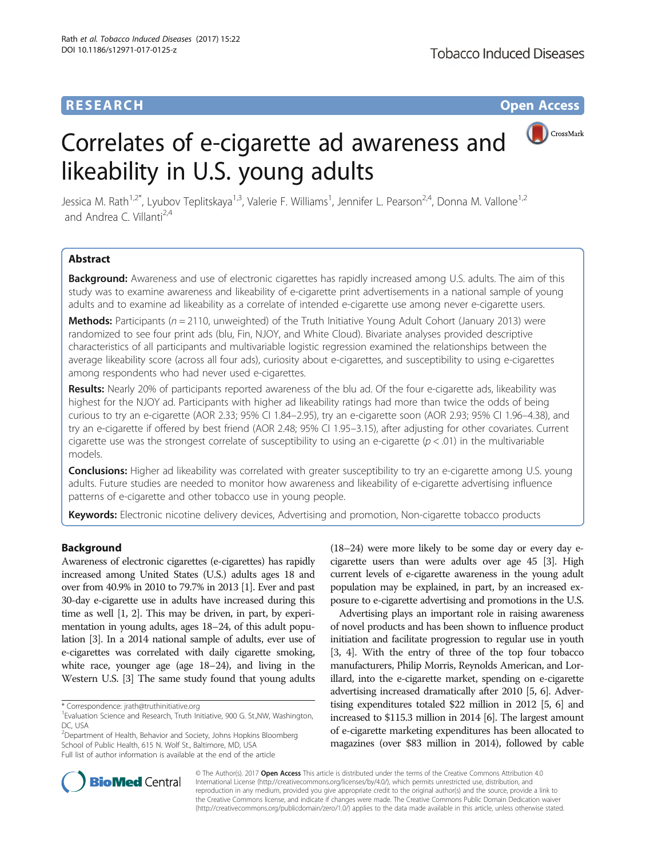## **RESEARCH CHE Open Access**

CrossMark

# Correlates of e-cigarette ad awareness and likeability in U.S. young adults

Jessica M. Rath<sup>1,2\*</sup>, Lyubov Teplitskaya<sup>1,3</sup>, Valerie F. Williams<sup>1</sup>, Jennifer L. Pearson<sup>2,4</sup>, Donna M. Vallone<sup>1,2</sup> and Andrea C. Villanti<sup>2,4</sup>

## Abstract

Background: Awareness and use of electronic cigarettes has rapidly increased among U.S. adults. The aim of this study was to examine awareness and likeability of e-cigarette print advertisements in a national sample of young adults and to examine ad likeability as a correlate of intended e-cigarette use among never e-cigarette users.

**Methods:** Participants ( $n = 2110$ , unweighted) of the Truth Initiative Young Adult Cohort (January 2013) were randomized to see four print ads (blu, Fin, NJOY, and White Cloud). Bivariate analyses provided descriptive characteristics of all participants and multivariable logistic regression examined the relationships between the average likeability score (across all four ads), curiosity about e-cigarettes, and susceptibility to using e-cigarettes among respondents who had never used e-cigarettes.

Results: Nearly 20% of participants reported awareness of the blu ad. Of the four e-cigarette ads, likeability was highest for the NJOY ad. Participants with higher ad likeability ratings had more than twice the odds of being curious to try an e-cigarette (AOR 2.33; 95% CI 1.84–2.95), try an e-cigarette soon (AOR 2.93; 95% CI 1.96–4.38), and try an e-cigarette if offered by best friend (AOR 2.48; 95% CI 1.95–3.15), after adjusting for other covariates. Current cigarette use was the strongest correlate of susceptibility to using an e-cigarette ( $p < .01$ ) in the multivariable models.

**Conclusions:** Higher ad likeability was correlated with greater susceptibility to try an e-cigarette among U.S. young adults. Future studies are needed to monitor how awareness and likeability of e-cigarette advertising influence patterns of e-cigarette and other tobacco use in young people.

Keywords: Electronic nicotine delivery devices, Advertising and promotion, Non-cigarette tobacco products

## Background

Awareness of electronic cigarettes (e-cigarettes) has rapidly increased among United States (U.S.) adults ages 18 and over from 40.9% in 2010 to 79.7% in 2013 [\[1](#page-7-0)]. Ever and past 30-day e-cigarette use in adults have increased during this time as well [\[1, 2](#page-7-0)]. This may be driven, in part, by experimentation in young adults, ages 18–24, of this adult population [\[3\]](#page-7-0). In a 2014 national sample of adults, ever use of e-cigarettes was correlated with daily cigarette smoking, white race, younger age (age 18–24), and living in the Western U.S. [\[3\]](#page-7-0) The same study found that young adults

<sup>2</sup>Department of Health, Behavior and Society, Johns Hopkins Bloomberg School of Public Health, 615 N. Wolf St., Baltimore, MD, USA Full list of author information is available at the end of the article

(18–24) were more likely to be some day or every day ecigarette users than were adults over age 45 [\[3\]](#page-7-0). High current levels of e-cigarette awareness in the young adult population may be explained, in part, by an increased exposure to e-cigarette advertising and promotions in the U.S.

Advertising plays an important role in raising awareness of novel products and has been shown to influence product initiation and facilitate progression to regular use in youth [[3](#page-7-0), [4](#page-7-0)]. With the entry of three of the top four tobacco manufacturers, Philip Morris, Reynolds American, and Lorillard, into the e-cigarette market, spending on e-cigarette advertising increased dramatically after 2010 [\[5, 6](#page-7-0)]. Advertising expenditures totaled \$22 million in 2012 [[5](#page-7-0), [6](#page-7-0)] and increased to \$115.3 million in 2014 [\[6\]](#page-7-0). The largest amount of e-cigarette marketing expenditures has been allocated to magazines (over \$83 million in 2014), followed by cable



© The Author(s). 2017 **Open Access** This article is distributed under the terms of the Creative Commons Attribution 4.0 International License [\(http://creativecommons.org/licenses/by/4.0/](http://creativecommons.org/licenses/by/4.0/)), which permits unrestricted use, distribution, and reproduction in any medium, provided you give appropriate credit to the original author(s) and the source, provide a link to the Creative Commons license, and indicate if changes were made. The Creative Commons Public Domain Dedication waiver [\(http://creativecommons.org/publicdomain/zero/1.0/](http://creativecommons.org/publicdomain/zero/1.0/)) applies to the data made available in this article, unless otherwise stated.

<sup>\*</sup> Correspondence: [jrath@truthinitiative.org](mailto:jrath@truthinitiative.org) <sup>1</sup>

<sup>&</sup>lt;sup>1</sup> Evaluation Science and Research, Truth Initiative, 900 G. St., NW, Washington, DC, USA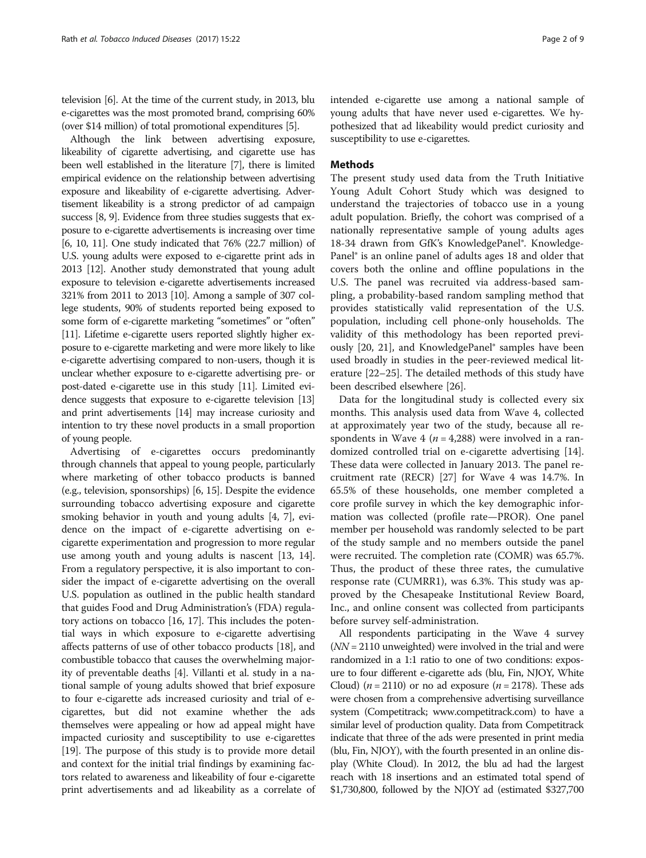television [\[6\]](#page-7-0). At the time of the current study, in 2013, blu e-cigarettes was the most promoted brand, comprising 60% (over \$14 million) of total promotional expenditures [\[5](#page-7-0)].

Although the link between advertising exposure, likeability of cigarette advertising, and cigarette use has been well established in the literature [[7](#page-7-0)], there is limited empirical evidence on the relationship between advertising exposure and likeability of e-cigarette advertising. Advertisement likeability is a strong predictor of ad campaign success [\[8, 9](#page-7-0)]. Evidence from three studies suggests that exposure to e-cigarette advertisements is increasing over time [[6](#page-7-0), [10](#page-7-0), [11](#page-7-0)]. One study indicated that 76% (22.7 million) of U.S. young adults were exposed to e-cigarette print ads in 2013 [\[12](#page-7-0)]. Another study demonstrated that young adult exposure to television e-cigarette advertisements increased 321% from 2011 to 2013 [\[10\]](#page-7-0). Among a sample of 307 college students, 90% of students reported being exposed to some form of e-cigarette marketing "sometimes" or "often" [[11](#page-7-0)]. Lifetime e-cigarette users reported slightly higher exposure to e-cigarette marketing and were more likely to like e-cigarette advertising compared to non-users, though it is unclear whether exposure to e-cigarette advertising pre- or post-dated e-cigarette use in this study [[11](#page-7-0)]. Limited evidence suggests that exposure to e-cigarette television [\[13](#page-7-0)] and print advertisements [[14](#page-7-0)] may increase curiosity and intention to try these novel products in a small proportion of young people.

Advertising of e-cigarettes occurs predominantly through channels that appeal to young people, particularly where marketing of other tobacco products is banned (e.g., television, sponsorships) [[6](#page-7-0), [15\]](#page-7-0). Despite the evidence surrounding tobacco advertising exposure and cigarette smoking behavior in youth and young adults [[4](#page-7-0), [7](#page-7-0)], evidence on the impact of e-cigarette advertising on ecigarette experimentation and progression to more regular use among youth and young adults is nascent [\[13](#page-7-0), [14](#page-7-0)]. From a regulatory perspective, it is also important to consider the impact of e-cigarette advertising on the overall U.S. population as outlined in the public health standard that guides Food and Drug Administration's (FDA) regulatory actions on tobacco [\[16, 17\]](#page-7-0). This includes the potential ways in which exposure to e-cigarette advertising affects patterns of use of other tobacco products [[18\]](#page-7-0), and combustible tobacco that causes the overwhelming majority of preventable deaths [[4](#page-7-0)]. Villanti et al. study in a national sample of young adults showed that brief exposure to four e-cigarette ads increased curiosity and trial of ecigarettes, but did not examine whether the ads themselves were appealing or how ad appeal might have impacted curiosity and susceptibility to use e-cigarettes [[19](#page-7-0)]. The purpose of this study is to provide more detail and context for the initial trial findings by examining factors related to awareness and likeability of four e-cigarette print advertisements and ad likeability as a correlate of intended e-cigarette use among a national sample of young adults that have never used e-cigarettes. We hypothesized that ad likeability would predict curiosity and susceptibility to use e-cigarettes.

## Methods

The present study used data from the Truth Initiative Young Adult Cohort Study which was designed to understand the trajectories of tobacco use in a young adult population. Briefly, the cohort was comprised of a nationally representative sample of young adults ages 18-34 drawn from GfK's KnowledgePanel®. Knowledge-Panel® is an online panel of adults ages 18 and older that covers both the online and offline populations in the U.S. The panel was recruited via address-based sampling, a probability-based random sampling method that provides statistically valid representation of the U.S. population, including cell phone-only households. The validity of this methodology has been reported previously [[20, 21\]](#page-8-0), and KnowledgePanel® samples have been used broadly in studies in the peer-reviewed medical literature [[22](#page-8-0)–[25\]](#page-8-0). The detailed methods of this study have been described elsewhere [[26](#page-8-0)].

Data for the longitudinal study is collected every six months. This analysis used data from Wave 4, collected at approximately year two of the study, because all respondents in Wave 4 ( $n = 4,288$ ) were involved in a randomized controlled trial on e-cigarette advertising [\[14](#page-7-0)]. These data were collected in January 2013. The panel recruitment rate (RECR) [\[27](#page-8-0)] for Wave 4 was 14.7%. In 65.5% of these households, one member completed a core profile survey in which the key demographic information was collected (profile rate—PROR). One panel member per household was randomly selected to be part of the study sample and no members outside the panel were recruited. The completion rate (COMR) was 65.7%. Thus, the product of these three rates, the cumulative response rate (CUMRR1), was 6.3%. This study was approved by the Chesapeake Institutional Review Board, Inc., and online consent was collected from participants before survey self-administration.

All respondents participating in the Wave 4 survey  $(NN = 2110$  unweighted) were involved in the trial and were randomized in a 1:1 ratio to one of two conditions: exposure to four different e-cigarette ads (blu, Fin, NJOY, White Cloud) ( $n = 2110$ ) or no ad exposure ( $n = 2178$ ). These ads were chosen from a comprehensive advertising surveillance system (Competitrack; [www.competitrack.com](http://www.competitrack.com/)) to have a similar level of production quality. Data from Competitrack indicate that three of the ads were presented in print media (blu, Fin, NJOY), with the fourth presented in an online display (White Cloud). In 2012, the blu ad had the largest reach with 18 insertions and an estimated total spend of \$1,730,800, followed by the NJOY ad (estimated \$327,700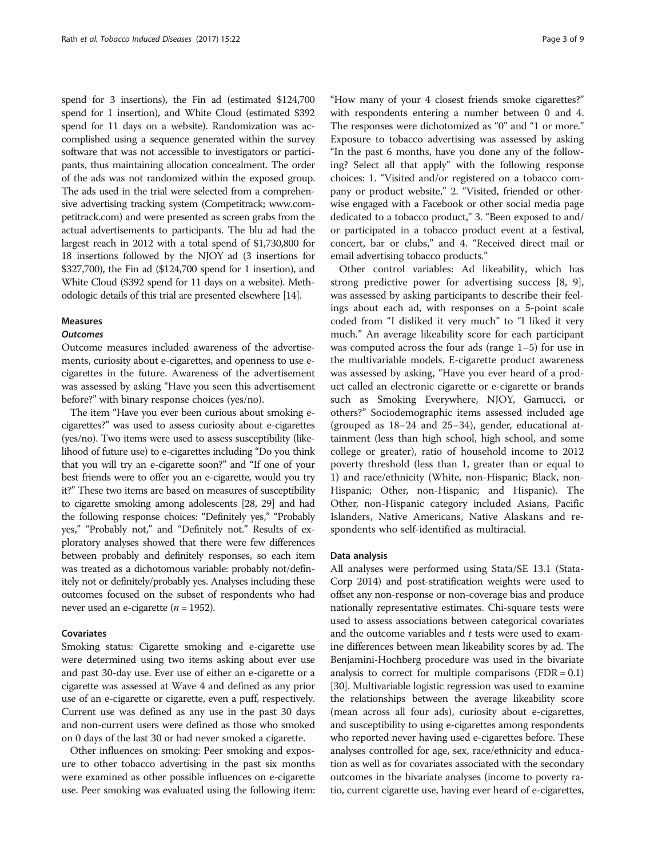spend for 3 insertions), the Fin ad (estimated \$124,700 spend for 1 insertion), and White Cloud (estimated \$392 spend for 11 days on a website). Randomization was accomplished using a sequence generated within the survey software that was not accessible to investigators or participants, thus maintaining allocation concealment. The order of the ads was not randomized within the exposed group. The ads used in the trial were selected from a comprehensive advertising tracking system (Competitrack; [www.com](http://www.competitrack.com/)[petitrack.com\)](http://www.competitrack.com/) and were presented as screen grabs from the actual advertisements to participants. The blu ad had the largest reach in 2012 with a total spend of \$1,730,800 for 18 insertions followed by the NJOY ad (3 insertions for \$327,700), the Fin ad (\$124,700 spend for 1 insertion), and White Cloud (\$392 spend for 11 days on a website). Methodologic details of this trial are presented elsewhere [\[14](#page-7-0)].

## Measures

## **Outcomes**

Outcome measures included awareness of the advertisements, curiosity about e-cigarettes, and openness to use ecigarettes in the future. Awareness of the advertisement was assessed by asking "Have you seen this advertisement before?" with binary response choices (yes/no).

The item "Have you ever been curious about smoking ecigarettes?" was used to assess curiosity about e-cigarettes (yes/no). Two items were used to assess susceptibility (likelihood of future use) to e-cigarettes including "Do you think that you will try an e-cigarette soon?" and "If one of your best friends were to offer you an e-cigarette, would you try it?" These two items are based on measures of susceptibility to cigarette smoking among adolescents [[28](#page-8-0), [29\]](#page-8-0) and had the following response choices: "Definitely yes," "Probably yes," "Probably not," and "Definitely not." Results of exploratory analyses showed that there were few differences between probably and definitely responses, so each item was treated as a dichotomous variable: probably not/definitely not or definitely/probably yes. Analyses including these outcomes focused on the subset of respondents who had never used an e-cigarette ( $n = 1952$ ).

### Covariates

Smoking status: Cigarette smoking and e-cigarette use were determined using two items asking about ever use and past 30-day use. Ever use of either an e-cigarette or a cigarette was assessed at Wave 4 and defined as any prior use of an e-cigarette or cigarette, even a puff, respectively. Current use was defined as any use in the past 30 days and non-current users were defined as those who smoked on 0 days of the last 30 or had never smoked a cigarette.

Other influences on smoking: Peer smoking and exposure to other tobacco advertising in the past six months were examined as other possible influences on e-cigarette use. Peer smoking was evaluated using the following item:

"How many of your 4 closest friends smoke cigarettes?" with respondents entering a number between 0 and 4. The responses were dichotomized as "0" and "1 or more." Exposure to tobacco advertising was assessed by asking "In the past 6 months, have you done any of the following? Select all that apply" with the following response choices: 1. "Visited and/or registered on a tobacco company or product website," 2. "Visited, friended or otherwise engaged with a Facebook or other social media page dedicated to a tobacco product," 3. "Been exposed to and/ or participated in a tobacco product event at a festival, concert, bar or clubs," and 4. "Received direct mail or email advertising tobacco products."

Other control variables: Ad likeability, which has strong predictive power for advertising success [\[8](#page-7-0), [9](#page-7-0)], was assessed by asking participants to describe their feelings about each ad, with responses on a 5-point scale coded from "I disliked it very much" to "I liked it very much." An average likeability score for each participant was computed across the four ads (range 1–5) for use in the multivariable models. E-cigarette product awareness was assessed by asking, "Have you ever heard of a product called an electronic cigarette or e-cigarette or brands such as Smoking Everywhere, NJOY, Gamucci, or others?" Sociodemographic items assessed included age (grouped as 18–24 and 25–34), gender, educational attainment (less than high school, high school, and some college or greater), ratio of household income to 2012 poverty threshold (less than 1, greater than or equal to 1) and race/ethnicity (White, non-Hispanic; Black, non-Hispanic; Other, non-Hispanic; and Hispanic). The Other, non-Hispanic category included Asians, Pacific Islanders, Native Americans, Native Alaskans and respondents who self-identified as multiracial.

## Data analysis

All analyses were performed using Stata/SE 13.1 (Stata-Corp 2014) and post-stratification weights were used to offset any non-response or non-coverage bias and produce nationally representative estimates. Chi-square tests were used to assess associations between categorical covariates and the outcome variables and  $t$  tests were used to examine differences between mean likeability scores by ad. The Benjamini-Hochberg procedure was used in the bivariate analysis to correct for multiple comparisons  $(FDR = 0.1)$ [[30](#page-8-0)]. Multivariable logistic regression was used to examine the relationships between the average likeability score (mean across all four ads), curiosity about e-cigarettes, and susceptibility to using e-cigarettes among respondents who reported never having used e-cigarettes before. These analyses controlled for age, sex, race/ethnicity and education as well as for covariates associated with the secondary outcomes in the bivariate analyses (income to poverty ratio, current cigarette use, having ever heard of e-cigarettes,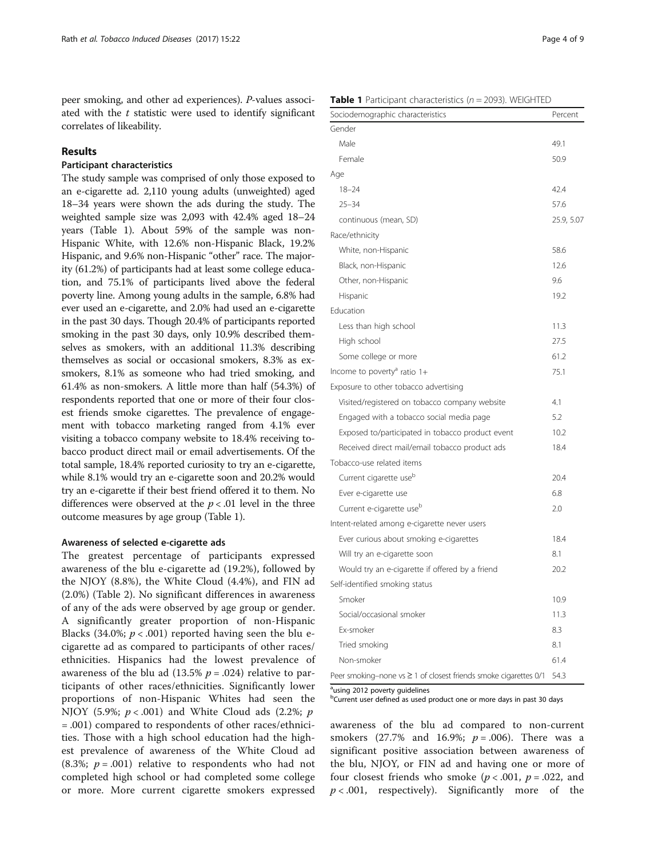peer smoking, and other ad experiences). P-values associated with the  $t$  statistic were used to identify significant correlates of likeability.

## Results

## Participant characteristics

The study sample was comprised of only those exposed to an e-cigarette ad. 2,110 young adults (unweighted) aged 18–34 years were shown the ads during the study. The weighted sample size was 2,093 with 42.4% aged 18–24 years (Table 1). About 59% of the sample was non-Hispanic White, with 12.6% non-Hispanic Black, 19.2% Hispanic, and 9.6% non-Hispanic "other" race. The majority (61.2%) of participants had at least some college education, and 75.1% of participants lived above the federal poverty line. Among young adults in the sample, 6.8% had ever used an e-cigarette, and 2.0% had used an e-cigarette in the past 30 days. Though 20.4% of participants reported smoking in the past 30 days, only 10.9% described themselves as smokers, with an additional 11.3% describing themselves as social or occasional smokers, 8.3% as exsmokers, 8.1% as someone who had tried smoking, and 61.4% as non-smokers. A little more than half (54.3%) of respondents reported that one or more of their four closest friends smoke cigarettes. The prevalence of engagement with tobacco marketing ranged from 4.1% ever visiting a tobacco company website to 18.4% receiving tobacco product direct mail or email advertisements. Of the total sample, 18.4% reported curiosity to try an e-cigarette, while 8.1% would try an e-cigarette soon and 20.2% would try an e-cigarette if their best friend offered it to them. No differences were observed at the  $p < .01$  level in the three outcome measures by age group (Table 1).

## Awareness of selected e-cigarette ads

The greatest percentage of participants expressed awareness of the blu e-cigarette ad (19.2%), followed by the NJOY (8.8%), the White Cloud (4.4%), and FIN ad (2.0%) (Table [2](#page-4-0)). No significant differences in awareness of any of the ads were observed by age group or gender. A significantly greater proportion of non-Hispanic Blacks (34.0%;  $p < .001$ ) reported having seen the blu ecigarette ad as compared to participants of other races/ ethnicities. Hispanics had the lowest prevalence of awareness of the blu ad (13.5%  $p = .024$ ) relative to participants of other races/ethnicities. Significantly lower proportions of non-Hispanic Whites had seen the NJOY (5.9%;  $p < .001$ ) and White Cloud ads (2.2%;  $p$ ) = .001) compared to respondents of other races/ethnicities. Those with a high school education had the highest prevalence of awareness of the White Cloud ad (8.3%;  $p = .001$ ) relative to respondents who had not completed high school or had completed some college or more. More current cigarette smokers expressed

**Table 1** Participant characteristics ( $n = 2093$ ). WEIGHTED

| Sociodemographic characteristics                                 | Percent    |
|------------------------------------------------------------------|------------|
| Gender                                                           |            |
| Male                                                             | 49.1       |
| Female                                                           | 50.9       |
| Age                                                              |            |
| $18 - 24$                                                        | 42.4       |
| $25 - 34$                                                        | 57.6       |
| continuous (mean, SD)                                            | 25.9, 5.07 |
| Race/ethnicity                                                   |            |
| White, non-Hispanic                                              | 58.6       |
| Black, non-Hispanic                                              | 12.6       |
| Other, non-Hispanic                                              | 9.6        |
| Hispanic                                                         | 19.2       |
| Education                                                        |            |
| Less than high school                                            | 11.3       |
| High school                                                      | 27.5       |
| Some college or more                                             | 61.2       |
| Income to poverty <sup>a</sup> ratio 1+                          | 75.1       |
| Exposure to other tobacco advertising                            |            |
| Visited/registered on tobacco company website                    | 4.1        |
| Engaged with a tobacco social media page                         | 5.2        |
| Exposed to/participated in tobacco product event                 | 10.2       |
| Received direct mail/email tobacco product ads                   | 18.4       |
| Tobacco-use related items                                        |            |
| Current cigarette use <sup>b</sup>                               | 20.4       |
| Ever e-cigarette use                                             | 6.8        |
| Current e-cigarette use <sup>b</sup>                             | 2.0        |
| Intent-related among e-cigarette never users                     |            |
| Ever curious about smoking e-cigarettes                          | 18.4       |
| Will try an e-cigarette soon                                     | 8.1        |
| Would try an e-cigarette if offered by a friend                  | 20.2       |
| Self-identified smoking status                                   |            |
| Smoker                                                           | 10.9       |
| Social/occasional smoker                                         | 11.3       |
| Ex-smoker                                                        | 8.3        |
| Tried smoking                                                    | 8.1        |
| Non-smoker                                                       | 61.4       |
| Peer smoking-none vs ≥ 1 of closest friends smoke cigarettes 0/1 | 54.3       |

<sup>a</sup>using 2012 poverty guidelines

<sup>b</sup>Current user defined as used product one or more days in past 30 days

awareness of the blu ad compared to non-current smokers (27.7% and 16.9%;  $p = .006$ ). There was a significant positive association between awareness of the blu, NJOY, or FIN ad and having one or more of four closest friends who smoke ( $p < .001$ ,  $p = .022$ , and  $p < .001$ , respectively). Significantly more of the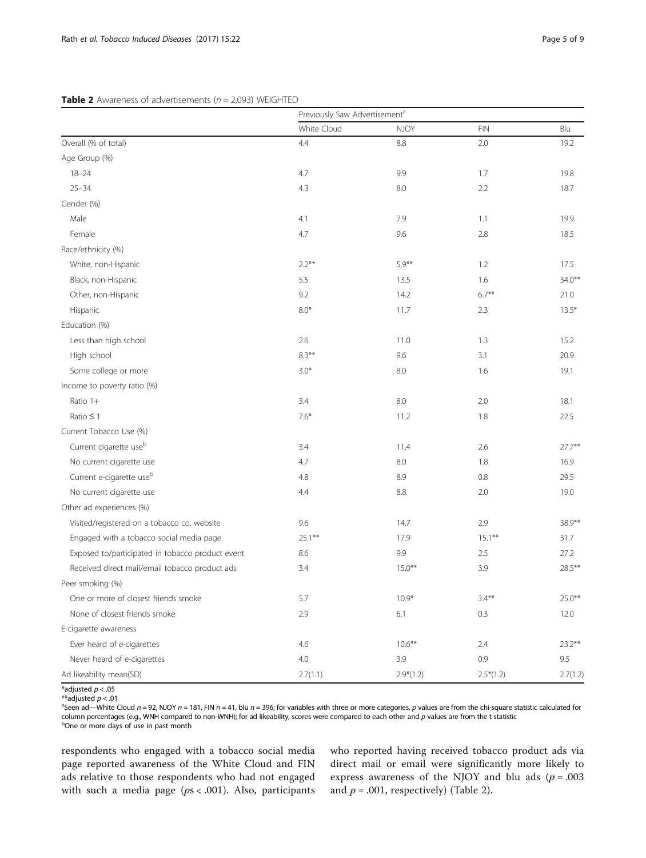## <span id="page-4-0"></span>**Table 2** Awareness of advertisements ( $n = 2.093$ ) WEIGHTED

|                                                  | Previously Saw Advertisement <sup>a</sup> |             |                |           |  |
|--------------------------------------------------|-------------------------------------------|-------------|----------------|-----------|--|
|                                                  | White Cloud                               | <b>NJOY</b> | $\mathsf{FIN}$ | Blu       |  |
| Overall (% of total)                             | 4.4                                       | 8.8         | 2.0            | 19.2      |  |
| Age Group (%)                                    |                                           |             |                |           |  |
| $18 - 24$                                        | 4.7                                       | 9.9         | 1.7            | 19.8      |  |
| $25 - 34$                                        | 4.3                                       | 8.0         | 2.2            | 18.7      |  |
| Gender (%)                                       |                                           |             |                |           |  |
| Male                                             | 4.1                                       | 7.9         | 1.1            | 19.9      |  |
| Female                                           | 4.7                                       | 9.6         | 2.8            | 18.5      |  |
| Race/ethnicity (%)                               |                                           |             |                |           |  |
| White, non-Hispanic                              | $2.2***$                                  | $5.9***$    | 1.2            | 17.5      |  |
| Black, non-Hispanic                              | 5.5                                       | 13.5        | 1.6            | $34.0***$ |  |
| Other, non-Hispanic                              | 9.2                                       | 14.2        | $6.7***$       | 21.0      |  |
| Hispanic                                         | $8.0*$                                    | 11.7        | 2.3            | $13.5*$   |  |
| Education (%)                                    |                                           |             |                |           |  |
| Less than high school                            | 2.6                                       | 11.0        | 1.3            | 15.2      |  |
| High school                                      | $8.3***$                                  | 9.6         | 3.1            | 20.9      |  |
| Some college or more                             | $3.0*$                                    | 8.0         | 1.6            | 19.1      |  |
| Income to poverty ratio (%)                      |                                           |             |                |           |  |
| Ratio 1+                                         | 3.4                                       | 8.0         | 2.0            | 18.1      |  |
| Ratio $\leq$ 1                                   | $7.6*$                                    | 11.2        | 1.8            | 22.5      |  |
| Current Tobacco Use (%)                          |                                           |             |                |           |  |
| Current cigarette use <sup>b</sup>               | 3.4                                       | 11.4        | 2.6            | $27.7***$ |  |
| No current cigarette use                         | 4.7                                       | 8.0         | 1.8            | 16.9      |  |
| Current e-cigarette use <sup>b</sup>             | 4.8                                       | 8.9         | 0.8            | 29.5      |  |
| No current cigarette use                         | 4.4                                       | 8.8         | 2.0            | 19.0      |  |
| Other ad experiences (%)                         |                                           |             |                |           |  |
| Visited/registered on a tobacco co. website      | 9.6                                       | 14.7        | 2.9            | 38.9**    |  |
| Engaged with a tobacco social media page         | $25.1***$                                 | 17.9        | $15.1***$      | 31.7      |  |
| Exposed to/participated in tobacco product event | 8.6                                       | 9.9         | 2.5            | 27.2      |  |
| Received direct mail/email tobacco product ads   | 3.4                                       | $15.0***$   | 3.9            | $28.5***$ |  |
| Peer smoking (%)                                 |                                           |             |                |           |  |
| One or more of closest friends smoke             | 5.7                                       | $10.9*$     | $3.4***$       | $25.0***$ |  |
| None of closest friends smoke                    | 2.9                                       | 6.1         | 0.3            | 12.0      |  |
| E-cigarette awareness                            |                                           |             |                |           |  |
| Ever heard of e-cigarettes                       | 4.6                                       | $10.6***$   | 2.4            | $23.2**$  |  |
| Never heard of e-cigarettes                      | 4.0                                       | 3.9         | 0.9            | 9.5       |  |
| Ad likeability mean(SD)                          | 2.7(1.1)                                  | $2.9*(1.2)$ | $2.5*(1.2)$    | 2.7(1.2)  |  |

\*adjusted  $p < .05$ \*\*adjusted  $p < .01$ 

<sup>a</sup>Seen ad—White Cloud n = 92, NJOY n = 181, FIN n = 41, blu n = 396; for variables with three or more categories, p values are from the chi-square statistic calculated for column percentages (e.g., WNH compared to non-WNH); for ad likeability, scores were compared to each other and p values are from the t statistic <sup>b</sup>One or more days of use in past month

respondents who engaged with a tobacco social media page reported awareness of the White Cloud and FIN ads relative to those respondents who had not engaged with such a media page ( $ps < .001$ ). Also, participants

who reported having received tobacco product ads via direct mail or email were significantly more likely to express awareness of the NJOY and blu ads  $(p=.003)$ and  $p = .001$ , respectively) (Table 2).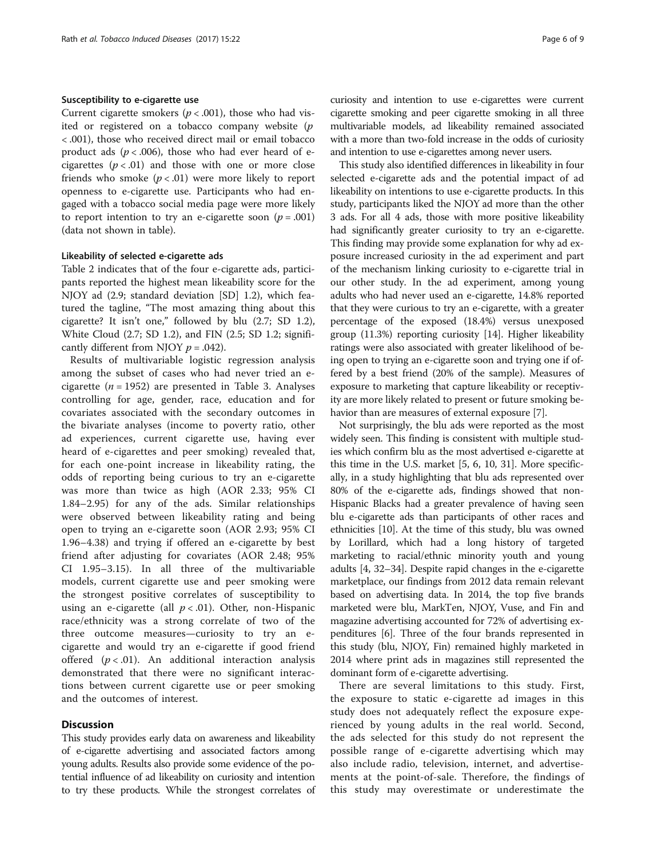## Susceptibility to e-cigarette use

Current cigarette smokers ( $p < .001$ ), those who had visited or registered on a tobacco company website  $(p)$ < .001), those who received direct mail or email tobacco product ads  $(p < .006)$ , those who had ever heard of ecigarettes  $(p < .01)$  and those with one or more close friends who smoke  $(p < .01)$  were more likely to report openness to e-cigarette use. Participants who had engaged with a tobacco social media page were more likely to report intention to try an e-cigarette soon ( $p = .001$ ) (data not shown in table).

## Likeability of selected e-cigarette ads

Table [2](#page-4-0) indicates that of the four e-cigarette ads, participants reported the highest mean likeability score for the NJOY ad (2.9; standard deviation [SD] 1.2), which featured the tagline, "The most amazing thing about this cigarette? It isn't one," followed by blu (2.7; SD 1.2), White Cloud (2.7; SD 1.2), and FIN (2.5; SD 1.2; significantly different from NJOY  $p = .042$ ).

Results of multivariable logistic regression analysis among the subset of cases who had never tried an ecigarette ( $n = 1952$ ) are presented in Table [3.](#page-6-0) Analyses controlling for age, gender, race, education and for covariates associated with the secondary outcomes in the bivariate analyses (income to poverty ratio, other ad experiences, current cigarette use, having ever heard of e-cigarettes and peer smoking) revealed that, for each one-point increase in likeability rating, the odds of reporting being curious to try an e-cigarette was more than twice as high (AOR 2.33; 95% CI 1.84–2.95) for any of the ads. Similar relationships were observed between likeability rating and being open to trying an e-cigarette soon (AOR 2.93; 95% CI 1.96–4.38) and trying if offered an e-cigarette by best friend after adjusting for covariates (AOR 2.48; 95% CI 1.95–3.15). In all three of the multivariable models, current cigarette use and peer smoking were the strongest positive correlates of susceptibility to using an e-cigarette (all  $p < .01$ ). Other, non-Hispanic race/ethnicity was a strong correlate of two of the three outcome measures—curiosity to try an ecigarette and would try an e-cigarette if good friend offered  $(p < .01)$ . An additional interaction analysis demonstrated that there were no significant interactions between current cigarette use or peer smoking and the outcomes of interest.

## **Discussion**

This study provides early data on awareness and likeability of e-cigarette advertising and associated factors among young adults. Results also provide some evidence of the potential influence of ad likeability on curiosity and intention to try these products. While the strongest correlates of

curiosity and intention to use e-cigarettes were current cigarette smoking and peer cigarette smoking in all three multivariable models, ad likeability remained associated with a more than two-fold increase in the odds of curiosity and intention to use e-cigarettes among never users.

This study also identified differences in likeability in four selected e-cigarette ads and the potential impact of ad likeability on intentions to use e-cigarette products. In this study, participants liked the NJOY ad more than the other 3 ads. For all 4 ads, those with more positive likeability had significantly greater curiosity to try an e-cigarette. This finding may provide some explanation for why ad exposure increased curiosity in the ad experiment and part of the mechanism linking curiosity to e-cigarette trial in our other study. In the ad experiment, among young adults who had never used an e-cigarette, 14.8% reported that they were curious to try an e-cigarette, with a greater percentage of the exposed (18.4%) versus unexposed group (11.3%) reporting curiosity [\[14\]](#page-7-0). Higher likeability ratings were also associated with greater likelihood of being open to trying an e-cigarette soon and trying one if offered by a best friend (20% of the sample). Measures of exposure to marketing that capture likeability or receptivity are more likely related to present or future smoking behavior than are measures of external exposure [[7](#page-7-0)].

Not surprisingly, the blu ads were reported as the most widely seen. This finding is consistent with multiple studies which confirm blu as the most advertised e-cigarette at this time in the U.S. market [[5, 6](#page-7-0), [10](#page-7-0), [31](#page-8-0)]. More specifically, in a study highlighting that blu ads represented over 80% of the e-cigarette ads, findings showed that non-Hispanic Blacks had a greater prevalence of having seen blu e-cigarette ads than participants of other races and ethnicities [\[10\]](#page-7-0). At the time of this study, blu was owned by Lorillard, which had a long history of targeted marketing to racial/ethnic minority youth and young adults [[4,](#page-7-0) [32](#page-8-0)–[34\]](#page-8-0). Despite rapid changes in the e-cigarette marketplace, our findings from 2012 data remain relevant based on advertising data. In 2014, the top five brands marketed were blu, MarkTen, NJOY, Vuse, and Fin and magazine advertising accounted for 72% of advertising expenditures [[6](#page-7-0)]. Three of the four brands represented in this study (blu, NJOY, Fin) remained highly marketed in 2014 where print ads in magazines still represented the dominant form of e-cigarette advertising.

There are several limitations to this study. First, the exposure to static e-cigarette ad images in this study does not adequately reflect the exposure experienced by young adults in the real world. Second, the ads selected for this study do not represent the possible range of e-cigarette advertising which may also include radio, television, internet, and advertisements at the point-of-sale. Therefore, the findings of this study may overestimate or underestimate the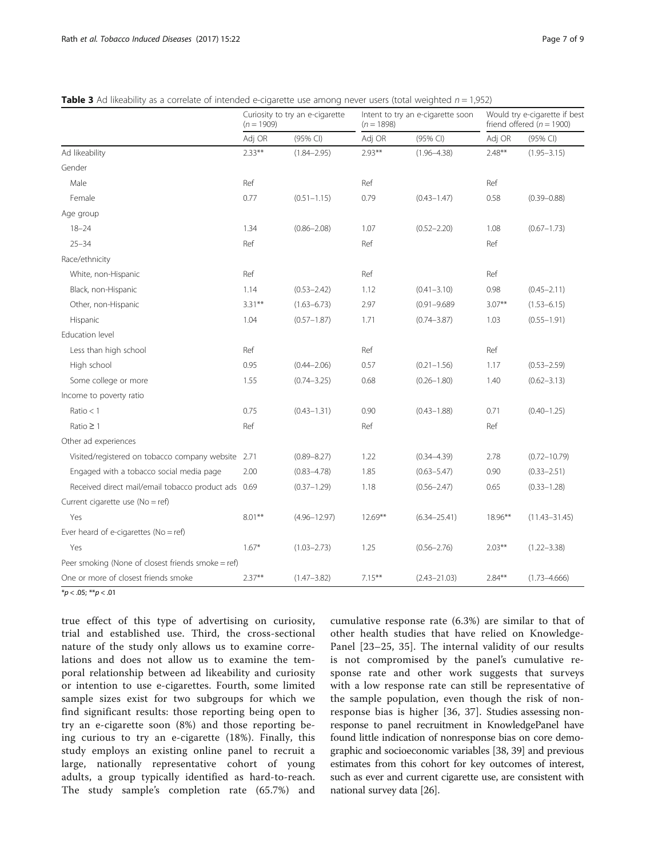|                                                     | Curiosity to try an e-cigarette<br>$(n = 1909)$ |                  | Intent to try an e-cigarette soon<br>$(n = 1898)$ |                  | Would try e-cigarette if best<br>friend offered ( $n = 1900$ ) |                   |
|-----------------------------------------------------|-------------------------------------------------|------------------|---------------------------------------------------|------------------|----------------------------------------------------------------|-------------------|
|                                                     | Adj OR                                          | (95% CI)         | Adj OR                                            | (95% CI)         | Adj OR                                                         | (95% CI)          |
| Ad likeability                                      | $2.33***$                                       | $(1.84 - 2.95)$  | $2.93***$                                         | $(1.96 - 4.38)$  | $2.48**$                                                       | $(1.95 - 3.15)$   |
| Gender                                              |                                                 |                  |                                                   |                  |                                                                |                   |
| Male                                                | Ref                                             |                  | Ref                                               |                  | Ref                                                            |                   |
| Female                                              | 0.77                                            | $(0.51 - 1.15)$  | 0.79                                              | $(0.43 - 1.47)$  | 0.58                                                           | $(0.39 - 0.88)$   |
| Age group                                           |                                                 |                  |                                                   |                  |                                                                |                   |
| $18 - 24$                                           | 1.34                                            | $(0.86 - 2.08)$  | 1.07                                              | $(0.52 - 2.20)$  | 1.08                                                           | $(0.67 - 1.73)$   |
| $25 - 34$                                           | Ref                                             |                  | Ref                                               |                  | Ref                                                            |                   |
| Race/ethnicity                                      |                                                 |                  |                                                   |                  |                                                                |                   |
| White, non-Hispanic                                 | Ref                                             |                  | Ref                                               |                  | Ref                                                            |                   |
| Black, non-Hispanic                                 | 1.14                                            | $(0.53 - 2.42)$  | 1.12                                              | $(0.41 - 3.10)$  | 0.98                                                           | $(0.45 - 2.11)$   |
| Other, non-Hispanic                                 | $3.31***$                                       | $(1.63 - 6.73)$  | 2.97                                              | $(0.91 - 9.689)$ | $3.07**$                                                       | $(1.53 - 6.15)$   |
| Hispanic                                            | 1.04                                            | $(0.57 - 1.87)$  | 1.71                                              | $(0.74 - 3.87)$  | 1.03                                                           | $(0.55 - 1.91)$   |
| Education level                                     |                                                 |                  |                                                   |                  |                                                                |                   |
| Less than high school                               | Ref                                             |                  | Ref                                               |                  | Ref                                                            |                   |
| High school                                         | 0.95                                            | $(0.44 - 2.06)$  | 0.57                                              | $(0.21 - 1.56)$  | 1.17                                                           | $(0.53 - 2.59)$   |
| Some college or more                                | 1.55                                            | $(0.74 - 3.25)$  | 0.68                                              | $(0.26 - 1.80)$  | 1.40                                                           | $(0.62 - 3.13)$   |
| Income to poverty ratio                             |                                                 |                  |                                                   |                  |                                                                |                   |
| Ratio $<$ 1                                         | 0.75                                            | $(0.43 - 1.31)$  | 0.90                                              | $(0.43 - 1.88)$  | 0.71                                                           | $(0.40 - 1.25)$   |
| Ratio $\geq$ 1                                      | Ref                                             |                  | Ref                                               |                  | Ref                                                            |                   |
| Other ad experiences                                |                                                 |                  |                                                   |                  |                                                                |                   |
| Visited/registered on tobacco company website 2.71  |                                                 | $(0.89 - 8.27)$  | 1.22                                              | $(0.34 - 4.39)$  | 2.78                                                           | $(0.72 - 10.79)$  |
| Engaged with a tobacco social media page            | 2.00                                            | $(0.83 - 4.78)$  | 1.85                                              | $(0.63 - 5.47)$  | 0.90                                                           | $(0.33 - 2.51)$   |
| Received direct mail/email tobacco product ads 0.69 |                                                 | $(0.37 - 1.29)$  | 1.18                                              | $(0.56 - 2.47)$  | 0.65                                                           | $(0.33 - 1.28)$   |
| Current cigarette use (No = ref)                    |                                                 |                  |                                                   |                  |                                                                |                   |
| Yes                                                 | $8.01***$                                       | $(4.96 - 12.97)$ | $12.69***$                                        | $(6.34 - 25.41)$ | 18.96**                                                        | $(11.43 - 31.45)$ |
| Ever heard of e-cigarettes (No = ref)               |                                                 |                  |                                                   |                  |                                                                |                   |
| Yes                                                 | $1.67*$                                         | $(1.03 - 2.73)$  | 1.25                                              | $(0.56 - 2.76)$  | $2.03***$                                                      | $(1.22 - 3.38)$   |
| Peer smoking (None of closest friends smoke = ref)  |                                                 |                  |                                                   |                  |                                                                |                   |
| One or more of closest friends smoke                | $2.37**$                                        | $(1.47 - 3.82)$  | $7.15***$                                         | $(2.43 - 21.03)$ | $2.84***$                                                      | $(1.73 - 4.666)$  |

<span id="page-6-0"></span>**Table 3** Ad likeability as a correlate of intended e-cigarette use among never users (total weighted  $n = 1,952$ )

 $*p < .05; **p < .01$ 

true effect of this type of advertising on curiosity, trial and established use. Third, the cross-sectional nature of the study only allows us to examine correlations and does not allow us to examine the temporal relationship between ad likeability and curiosity or intention to use e-cigarettes. Fourth, some limited sample sizes exist for two subgroups for which we find significant results: those reporting being open to try an e-cigarette soon (8%) and those reporting being curious to try an e-cigarette (18%). Finally, this study employs an existing online panel to recruit a large, nationally representative cohort of young adults, a group typically identified as hard-to-reach. The study sample's completion rate (65.7%) and cumulative response rate (6.3%) are similar to that of other health studies that have relied on Knowledge-Panel [\[23](#page-8-0)–[25](#page-8-0), [35\]](#page-8-0). The internal validity of our results is not compromised by the panel's cumulative response rate and other work suggests that surveys with a low response rate can still be representative of the sample population, even though the risk of nonresponse bias is higher [[36](#page-8-0), [37\]](#page-8-0). Studies assessing nonresponse to panel recruitment in KnowledgePanel have found little indication of nonresponse bias on core demographic and socioeconomic variables [\[38, 39](#page-8-0)] and previous estimates from this cohort for key outcomes of interest, such as ever and current cigarette use, are consistent with national survey data [[26](#page-8-0)].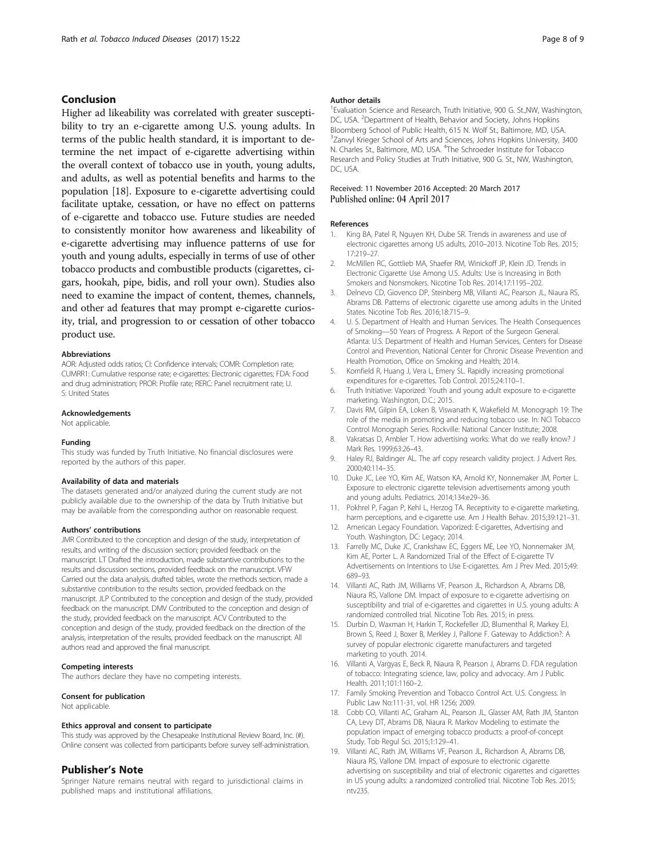## <span id="page-7-0"></span>Conclusion

Higher ad likeability was correlated with greater susceptibility to try an e-cigarette among U.S. young adults. In terms of the public health standard, it is important to determine the net impact of e-cigarette advertising within the overall context of tobacco use in youth, young adults, and adults, as well as potential benefits and harms to the population [18]. Exposure to e-cigarette advertising could facilitate uptake, cessation, or have no effect on patterns of e-cigarette and tobacco use. Future studies are needed to consistently monitor how awareness and likeability of e-cigarette advertising may influence patterns of use for youth and young adults, especially in terms of use of other tobacco products and combustible products (cigarettes, cigars, hookah, pipe, bidis, and roll your own). Studies also need to examine the impact of content, themes, channels, and other ad features that may prompt e-cigarette curiosity, trial, and progression to or cessation of other tobacco product use.

## Abbreviations

AOR: Adjusted odds ratios; CI: Confidence intervals; COMR: Completion rate; CUMRR1: Cumulative response rate; e-cigarettes: Electronic cigarettes; FDA: Food and drug administration; PROR: Profile rate; RERC: Panel recruitment rate; U. S: United States

## Acknowledgements

Not applicable.

### Funding

This study was funded by Truth Initiative. No financial disclosures were reported by the authors of this paper.

#### Availability of data and materials

The datasets generated and/or analyzed during the current study are not publicly available due to the ownership of the data by Truth Initiative but may be available from the corresponding author on reasonable request.

#### Authors' contributions

JMR Contributed to the conception and design of the study, interpretation of results, and writing of the discussion section; provided feedback on the manuscript. LT Drafted the introduction, made substantive contributions to the results and discussion sections, provided feedback on the manuscript. VFW Carried out the data analysis, drafted tables, wrote the methods section, made a substantive contribution to the results section, provided feedback on the manuscript. JLP Contributed to the conception and design of the study, provided feedback on the manuscript. DMV Contributed to the conception and design of the study, provided feedback on the manuscript. ACV Contributed to the conception and design of the study, provided feedback on the direction of the analysis, interpretation of the results, provided feedback on the manuscript. All authors read and approved the final manuscript.

#### Competing interests

The authors declare they have no competing interests.

#### Consent for publication

Not applicable.

## Ethics approval and consent to participate

This study was approved by the Chesapeake Institutional Review Board, Inc. (#). Online consent was collected from participants before survey self-administration.

## Publisher's Note

Springer Nature remains neutral with regard to jurisdictional claims in published maps and institutional affiliations.

#### Author details

<sup>1</sup> Evaluation Science and Research, Truth Initiative, 900 G. St., NW, Washington, DC, USA. <sup>2</sup>Department of Health, Behavior and Society, Johns Hopkins Bloomberg School of Public Health, 615 N. Wolf St., Baltimore, MD, USA. <sup>3</sup>Zanvyl Krieger School of Arts and Sciences, Johns Hopkins University, 3400 N. Charles St., Baltimore, MD, USA. <sup>4</sup>The Schroeder Institute for Tobacco Research and Policy Studies at Truth Initiative, 900 G. St., NW, Washington, DC, USA.

## Received: 11 November 2016 Accepted: 20 March 2017 Published online: 04 April 2017

#### References

- 1. King BA, Patel R, Nguyen KH, Dube SR. Trends in awareness and use of electronic cigarettes among US adults, 2010–2013. Nicotine Tob Res. 2015; 17:219–27.
- 2. McMillen RC, Gottlieb MA, Shaefer RM, Winickoff JP, Klein JD. Trends in Electronic Cigarette Use Among U.S. Adults: Use is Increasing in Both Smokers and Nonsmokers. Nicotine Tob Res. 2014;17:1195–202.
- 3. Delnevo CD, Giovenco DP, Steinberg MB, Villanti AC, Pearson JL, Niaura RS, Abrams DB. Patterns of electronic cigarette use among adults in the United States. Nicotine Tob Res. 2016;18:715–9.
- 4. U. S. Department of Health and Human Services. The Health Consequences of Smoking—50 Years of Progress. A Report of the Surgeon General. Atlanta: U.S. Department of Health and Human Services, Centers for Disease Control and Prevention, National Center for Chronic Disease Prevention and Health Promotion, Office on Smoking and Health; 2014.
- 5. Kornfield R, Huang J, Vera L, Emery SL. Rapidly increasing promotional expenditures for e-cigarettes. Tob Control. 2015;24:110–1.
- 6. Truth Initiative: Vaporized: Youth and young adult exposure to e-cigarette marketing. Washington, D.C.; 2015.
- 7. Davis RM, Gilpin EA, Loken B, Viswanath K, Wakefield M. Monograph 19: The role of the media in promoting and reducing tobacco use. In: NCI Tobacco Control Monograph Series. Rockville: National Cancer Institute; 2008.
- 8. Vakratsas D, Ambler T. How advertising works: What do we really know? J Mark Res. 1999;63:26–43.
- 9. Haley RJ, Baldinger AL. The arf copy research validity project. J Advert Res. 2000;40:114–35.
- 10. Duke JC, Lee YO, Kim AE, Watson KA, Arnold KY, Nonnemaker JM, Porter L. Exposure to electronic cigarette television advertisements among youth and young adults. Pediatrics. 2014;134:e29–36.
- 11. Pokhrel P, Fagan P, Kehl L, Herzog TA. Receptivity to e-cigarette marketing, harm perceptions, and e-cigarette use. Am J Health Behav. 2015;39:121-31.
- 12. American Legacy Foundation. Vaporized: E-cigarettes, Advertising and Youth. Washington, DC: Legacy; 2014.
- 13. Farrelly MC, Duke JC, Crankshaw EC, Eggers ME, Lee YO, Nonnemaker JM, Kim AE, Porter L. A Randomized Trial of the Effect of E-cigarette TV Advertisements on Intentions to Use E-cigarettes. Am J Prev Med. 2015;49: 689–93.
- 14. Villanti AC, Rath JM, Williams VF, Pearson JL, Richardson A, Abrams DB, Niaura RS, Vallone DM. Impact of exposure to e-cigarette advertising on susceptibility and trial of e-cigarettes and cigarettes in U.S. young adults: A randomized controlled trial. Nicotine Tob Res. 2015; in press.
- 15. Durbin D, Waxman H, Harkin T, Rockefeller JD, Blumenthal R, Markey EJ, Brown S, Reed J, Boxer B, Merkley J, Pallone F. Gateway to Addiction?: A survey of popular electronic cigarette manufacturers and targeted marketing to youth. 2014.
- 16. Villanti A, Vargyas E, Beck R, Niaura R, Pearson J, Abrams D. FDA regulation of tobacco: Integrating science, law, policy and advocacy. Am J Public Health. 2011;101:1160–2.
- 17. Family Smoking Prevention and Tobacco Control Act. U.S. Congress. In Public Law No:111-31, vol. HR 1256; 2009.
- 18. Cobb CO, Villanti AC, Graham AL, Pearson JL, Glasser AM, Rath JM, Stanton CA, Levy DT, Abrams DB, Niaura R. Markov Modeling to estimate the population impact of emerging tobacco products: a proof-of-concept Study. Tob Regul Sci. 2015;1:129–41.
- 19. Villanti AC, Rath JM, Williams VF, Pearson JL, Richardson A, Abrams DB, Niaura RS, Vallone DM. Impact of exposure to electronic cigarette advertising on susceptibility and trial of electronic cigarettes and cigarettes in US young adults: a randomized controlled trial. Nicotine Tob Res. 2015; ntv235.